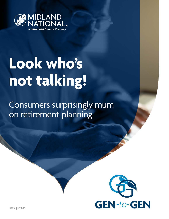

# **Look who's not talking!**

Consumers surprisingly mum on retirement planning

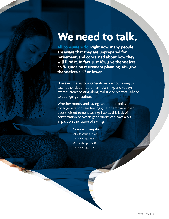## **We need to talk.**

**All consumers do. Right now, many people are aware that they are unprepared for retirement, and concerned about how they will fund it. In fact, just 16% give themselves an 'A' grade on retirement planning. 41% give themselves a 'C' or lower.**

However, the various generations are not talking to each other about retirement planning, and today's retirees aren't passing along realistic or practical advice to younger generations.

Whether money and savings are taboo topics, or older generations are feeling guilt or embarrassment over their retirement savings habits, this lack of conversation between generations can have a big impact on the future of savings.

#### **Generational categories**

Baby Boomers: age 55+ Gen X-ers: ages 45-54 Millennials: ages 25-44 Gen Z-ers: ages 18-24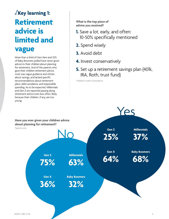### **Key learning 1: Retirement advice is limited and vague**

More than a third of Gen-Xers and 32% of Baby Boomers polled have never given advice to their children about planning for retirement. And of the parents who gave their children retirement advice, most was vague guidance and cliches about savings, and lacked specific recommendations about retirement plans, debt avoidance, and responsible spending. As to be expected, Millennials and Gen Z-ers reported passing along retirement advice even less often, likely because their children, if any, are too young.

**What is the top piece of advice you received?**

- **1.** Save a lot, early, and often: 10-50% specifically mentioned
- **2.** Spend wisely
- **3.** Avoid debt
- **4.** Invest conservatively
- **5.** Set up a retirement savings plan (401k, IRA, Roth, trust fund)

\* Ranked in order of prevalence

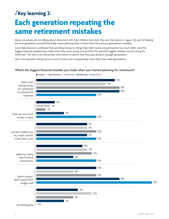### **Key learning 2: Each generation repeating the same retirement mistakes**

Many consumers are not talking about retirement with their children, but when they are, their advice is vague. Yet, part of helping the next generation succeed financially means allowing them to learn from the previous generations' mistakes.

Some Baby Boomers confessed that spending money on things they didn't need, and getting into too much debt, were the biggest financial mistakes they made when they were young, and another 17% said their biggest mistake was not saving for retirement. Yet, this is not the primary information or advice that they pass along to younger generations.

Gen Z-ers reported 'taking out too much in loans' and 'overspending' more often than older generations.

#### **What's the biggest financial mistake you made when you started planning for retirement?**

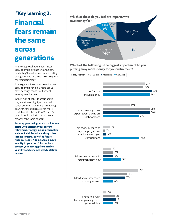### **Key learning 3: Financial fears remain the same across generations**

As they approach retirement, most Baby Boomers cite not knowing how much they'll need, as well as not making enough money, as barriers to saving more for their retirement.

As the generation closest to retirement, Baby Boomers have real fears about having enough money or financial security in retirement.

In fact, 77% of Baby Boomers admit they are at least slightly concerned about outliving their retirement savings. Younger generations are even more fearful—with 80% of Gen X-ers, 87% of Millennials, and 89% of Gen Z-ers reporting the same concern.

**Ensuring your savings can last a lifetime starts with assessing your current retirement strategy, including benefits such as Social Security and any other income streams, as well as future financial needs. Adding a fixed index annuity to your portfolio can help protect your nest egg from market volatility and generate steady lifetime income.**



### **Which of the following is the biggest impediment to you putting away more money for your retirement?**

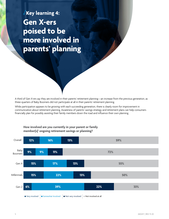**Key learning 4: Gen X-ers poised to be more involved in parents' planning**

A third of Gen X-ers say they are involved in their parents' retirement planning—an increase from the previous generation, as three-quarters of Baby Boomers did not participate at all in their parents' retirement planning.

While participation appears to be growing with each succeeding generation, there is clearly room for improvement in communication about retirement planning. Awareness of parents' savings strategy and retirement plans can help consumers financially plan for possibly assisting their family members down the road and influence their own planning.



#### **How involved are you currently in your parent or family member(s)' ongoing retirement savings or planning?**